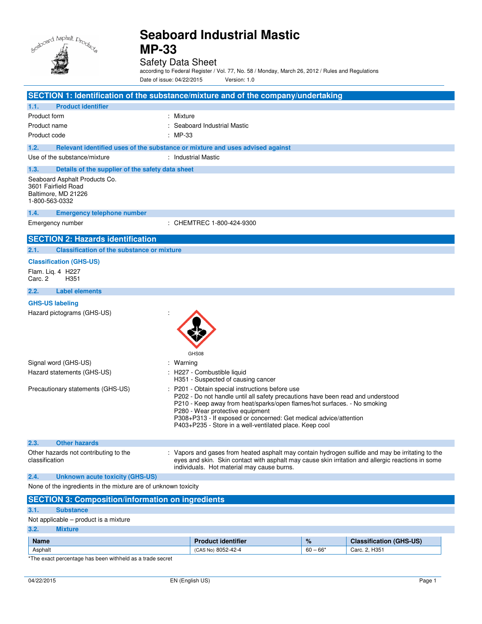

Safety Data Sheet

according to Federal Register / Vol. 77, No. 58 / Monday, March 26, 2012 / Rules and Regulations

Date of issue: 04/22/2015 Version: 1.0

|                                                                                               | SECTION 1: Identification of the substance/mixture and of the company/undertaking                                                                                                                                                                                                                                                                                                |  |
|-----------------------------------------------------------------------------------------------|----------------------------------------------------------------------------------------------------------------------------------------------------------------------------------------------------------------------------------------------------------------------------------------------------------------------------------------------------------------------------------|--|
| <b>Product identifier</b><br>1.1.                                                             |                                                                                                                                                                                                                                                                                                                                                                                  |  |
| Product form                                                                                  | : Mixture                                                                                                                                                                                                                                                                                                                                                                        |  |
| Product name                                                                                  | : Seaboard Industrial Mastic                                                                                                                                                                                                                                                                                                                                                     |  |
| Product code                                                                                  | : MP-33                                                                                                                                                                                                                                                                                                                                                                          |  |
| 1.2.                                                                                          | Relevant identified uses of the substance or mixture and uses advised against                                                                                                                                                                                                                                                                                                    |  |
| Use of the substance/mixture                                                                  | : Industrial Mastic                                                                                                                                                                                                                                                                                                                                                              |  |
| 1.3.<br>Details of the supplier of the safety data sheet                                      |                                                                                                                                                                                                                                                                                                                                                                                  |  |
| Seaboard Asphalt Products Co.<br>3601 Fairfield Road<br>Baltimore, MD 21226<br>1-800-563-0332 |                                                                                                                                                                                                                                                                                                                                                                                  |  |
| 1.4.<br><b>Emergency telephone number</b>                                                     |                                                                                                                                                                                                                                                                                                                                                                                  |  |
| Emergency number                                                                              | : CHEMTREC 1-800-424-9300                                                                                                                                                                                                                                                                                                                                                        |  |
| <b>SECTION 2: Hazards identification</b>                                                      |                                                                                                                                                                                                                                                                                                                                                                                  |  |
| 2.1.<br><b>Classification of the substance or mixture</b>                                     |                                                                                                                                                                                                                                                                                                                                                                                  |  |
| <b>Classification (GHS-US)</b>                                                                |                                                                                                                                                                                                                                                                                                                                                                                  |  |
| Flam. Lig. 4 H227<br>Carc. 2<br>H351                                                          |                                                                                                                                                                                                                                                                                                                                                                                  |  |
| <b>Label elements</b><br>2.2.                                                                 |                                                                                                                                                                                                                                                                                                                                                                                  |  |
| <b>GHS-US labeling</b>                                                                        |                                                                                                                                                                                                                                                                                                                                                                                  |  |
| Hazard pictograms (GHS-US)                                                                    | GHS08                                                                                                                                                                                                                                                                                                                                                                            |  |
| Signal word (GHS-US)                                                                          | : Warning                                                                                                                                                                                                                                                                                                                                                                        |  |
| Hazard statements (GHS-US)                                                                    | : H227 - Combustible liquid<br>H351 - Suspected of causing cancer                                                                                                                                                                                                                                                                                                                |  |
| Precautionary statements (GHS-US)                                                             | P201 - Obtain special instructions before use<br>P202 - Do not handle until all safety precautions have been read and understood<br>P210 - Keep away from heat/sparks/open flames/hot surfaces. - No smoking<br>P280 - Wear protective equipment<br>P308+P313 - If exposed or concerned: Get medical advice/attention<br>P403+P235 - Store in a well-ventilated place. Keep cool |  |
| 2.3.<br><b>Other hazards</b>                                                                  |                                                                                                                                                                                                                                                                                                                                                                                  |  |
| Other hazards not contributing to the<br>classification                                       | : Vapors and gases from heated asphalt may contain hydrogen sulfide and may be irritating to the<br>eyes and skin. Skin contact with asphalt may cause skin irritation and allergic reactions in some<br>individuals. Hot material may cause burns.                                                                                                                              |  |
| 2.4.<br><b>Unknown acute toxicity (GHS-US)</b>                                                |                                                                                                                                                                                                                                                                                                                                                                                  |  |
| None of the ingredients in the mixture are of unknown toxicity                                |                                                                                                                                                                                                                                                                                                                                                                                  |  |
| <b>SECTION 3: Composition/information on ingredients</b>                                      |                                                                                                                                                                                                                                                                                                                                                                                  |  |

# **3.1. Substance**

|      | Not applicable – product is a mixture |
|------|---------------------------------------|
| 3.2. | <b>Mixture</b>                        |

| Name    | ntifier                          | $\%$       | $(GHS-US)$<br>Jiassificatioi |
|---------|----------------------------------|------------|------------------------------|
| Asphalt | 8052-42-4<br><b>CAS</b><br>` Nc. | $60 - 66*$ | 2. H <sub>351</sub><br>Carc. |

\*The exact percentage has been withheld as a trade secret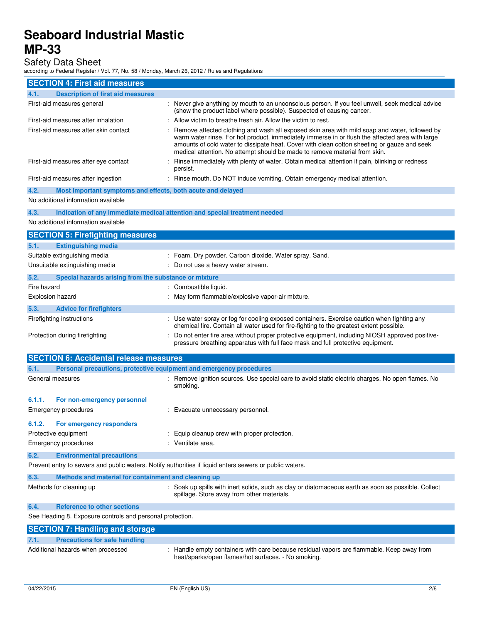Safety Data Sheet

| according to Federal Register / Vol. 77, No. 58 / Monday, March 26, 2012 / Rules and Regulations        |                                                                                                                                                                                                                                                                                                                                                                               |
|---------------------------------------------------------------------------------------------------------|-------------------------------------------------------------------------------------------------------------------------------------------------------------------------------------------------------------------------------------------------------------------------------------------------------------------------------------------------------------------------------|
| <b>SECTION 4: First aid measures</b>                                                                    |                                                                                                                                                                                                                                                                                                                                                                               |
| <b>Description of first aid measures</b><br>4.1.                                                        |                                                                                                                                                                                                                                                                                                                                                                               |
| First-aid measures general                                                                              | : Never give anything by mouth to an unconscious person. If you feel unwell, seek medical advice<br>(show the product label where possible). Suspected of causing cancer.                                                                                                                                                                                                     |
| First-aid measures after inhalation                                                                     | Allow victim to breathe fresh air. Allow the victim to rest.                                                                                                                                                                                                                                                                                                                  |
| First-aid measures after skin contact                                                                   | Remove affected clothing and wash all exposed skin area with mild soap and water, followed by<br>warm water rinse. For hot product, immediately immerse in or flush the affected area with large<br>amounts of cold water to dissipate heat. Cover with clean cotton sheeting or gauze and seek<br>medical attention. No attempt should be made to remove material from skin. |
| First-aid measures after eye contact                                                                    | Rinse immediately with plenty of water. Obtain medical attention if pain, blinking or redness<br>persist.                                                                                                                                                                                                                                                                     |
| First-aid measures after ingestion                                                                      | : Rinse mouth. Do NOT induce vomiting. Obtain emergency medical attention.                                                                                                                                                                                                                                                                                                    |
| 4.2.<br>Most important symptoms and effects, both acute and delayed                                     |                                                                                                                                                                                                                                                                                                                                                                               |
| No additional information available                                                                     |                                                                                                                                                                                                                                                                                                                                                                               |
| 4.3.<br>Indication of any immediate medical attention and special treatment needed                      |                                                                                                                                                                                                                                                                                                                                                                               |
| No additional information available                                                                     |                                                                                                                                                                                                                                                                                                                                                                               |
| <b>SECTION 5: Firefighting measures</b>                                                                 |                                                                                                                                                                                                                                                                                                                                                                               |
| 5.1.<br><b>Extinguishing media</b>                                                                      |                                                                                                                                                                                                                                                                                                                                                                               |
| Suitable extinguishing media                                                                            | : Foam. Dry powder. Carbon dioxide. Water spray. Sand.                                                                                                                                                                                                                                                                                                                        |
| Unsuitable extinguishing media                                                                          | : Do not use a heavy water stream.                                                                                                                                                                                                                                                                                                                                            |
| 5.2.<br>Special hazards arising from the substance or mixture                                           |                                                                                                                                                                                                                                                                                                                                                                               |
| Fire hazard                                                                                             | : Combustible liquid.                                                                                                                                                                                                                                                                                                                                                         |
| <b>Explosion hazard</b>                                                                                 | : May form flammable/explosive vapor-air mixture.                                                                                                                                                                                                                                                                                                                             |
| 5.3.<br><b>Advice for firefighters</b>                                                                  |                                                                                                                                                                                                                                                                                                                                                                               |
| Firefighting instructions                                                                               | : Use water spray or fog for cooling exposed containers. Exercise caution when fighting any<br>chemical fire. Contain all water used for fire-fighting to the greatest extent possible.                                                                                                                                                                                       |
| Protection during firefighting                                                                          | Do not enter fire area without proper protective equipment, including NIOSH approved positive-<br>pressure breathing apparatus with full face mask and full protective equipment.                                                                                                                                                                                             |
| <b>SECTION 6: Accidental release measures</b>                                                           |                                                                                                                                                                                                                                                                                                                                                                               |
| 6.1.<br>Personal precautions, protective equipment and emergency procedures                             |                                                                                                                                                                                                                                                                                                                                                                               |
| General measures                                                                                        | : Remove ignition sources. Use special care to avoid static electric charges. No open flames. No<br>smoking.                                                                                                                                                                                                                                                                  |
| 6.1.1.<br>For non-emergency personnel                                                                   |                                                                                                                                                                                                                                                                                                                                                                               |
| <b>Emergency procedures</b>                                                                             | : Evacuate unnecessary personnel.                                                                                                                                                                                                                                                                                                                                             |
| For emergency responders<br>6.1.2.                                                                      |                                                                                                                                                                                                                                                                                                                                                                               |
| Protective equipment                                                                                    | Equip cleanup crew with proper protection.                                                                                                                                                                                                                                                                                                                                    |
| <b>Emergency procedures</b>                                                                             | : Ventilate area.                                                                                                                                                                                                                                                                                                                                                             |
| 6.2.<br><b>Environmental precautions</b>                                                                |                                                                                                                                                                                                                                                                                                                                                                               |
| Prevent entry to sewers and public waters. Notify authorities if liquid enters sewers or public waters. |                                                                                                                                                                                                                                                                                                                                                                               |
| 6.3.<br>Methods and material for containment and cleaning up                                            |                                                                                                                                                                                                                                                                                                                                                                               |
| Methods for cleaning up                                                                                 | : Soak up spills with inert solids, such as clay or diatomaceous earth as soon as possible. Collect<br>spillage. Store away from other materials.                                                                                                                                                                                                                             |
| <b>Reference to other sections</b><br>6.4.                                                              |                                                                                                                                                                                                                                                                                                                                                                               |
| See Heading 8. Exposure controls and personal protection.                                               |                                                                                                                                                                                                                                                                                                                                                                               |
| <b>SECTION 7: Handling and storage</b>                                                                  |                                                                                                                                                                                                                                                                                                                                                                               |
| 7.1.<br><b>Precautions for safe handling</b>                                                            |                                                                                                                                                                                                                                                                                                                                                                               |
| Additional hazards when processed                                                                       | : Handle empty containers with care because residual vapors are flammable. Keep away from<br>heat/sparks/open flames/hot surfaces. - No smoking.                                                                                                                                                                                                                              |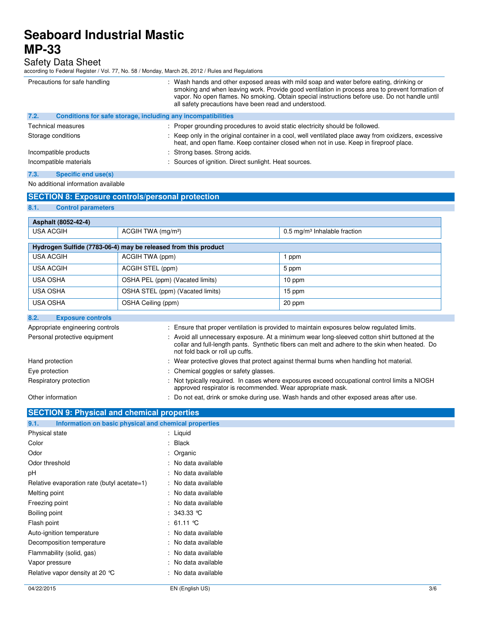Safety Data Sheet according to Federal Register / Vol. 77, No. 58 / Monday, March 26, 2012 / Rules and Regulations

| Precautions for safe handling                                        | : Wash hands and other exposed areas with mild soap and water before eating, drinking or<br>smoking and when leaving work. Provide good ventilation in process area to prevent formation of<br>vapor. No open flames. No smoking. Obtain special instructions before use. Do not handle until<br>all safety precautions have been read and understood. |
|----------------------------------------------------------------------|--------------------------------------------------------------------------------------------------------------------------------------------------------------------------------------------------------------------------------------------------------------------------------------------------------------------------------------------------------|
| 7.2.<br>Conditions for safe storage, including any incompatibilities |                                                                                                                                                                                                                                                                                                                                                        |
| <b>Technical measures</b>                                            | : Proper grounding procedures to avoid static electricity should be followed.                                                                                                                                                                                                                                                                          |
| Storage conditions                                                   | : Keep only in the original container in a cool, well ventilated place away from oxidizers, excessive<br>heat, and open flame. Keep container closed when not in use. Keep in fireproof place.                                                                                                                                                         |
| Incompatible products                                                | : Strong bases. Strong acids.                                                                                                                                                                                                                                                                                                                          |
| Incompatible materials                                               | : Sources of ignition. Direct sunlight. Heat sources.                                                                                                                                                                                                                                                                                                  |
| 7.3.<br>Specific end use(s)                                          |                                                                                                                                                                                                                                                                                                                                                        |

No additional information available

## **SECTION 8: Exposure controls/personal protection**

### **8.1. Control parameters**

| Asphalt (8052-42-4)                                                                                                                                                                                                                                                 |                                                                                                                                                             |                                            |  |
|---------------------------------------------------------------------------------------------------------------------------------------------------------------------------------------------------------------------------------------------------------------------|-------------------------------------------------------------------------------------------------------------------------------------------------------------|--------------------------------------------|--|
| <b>USA ACGIH</b>                                                                                                                                                                                                                                                    | ACGIH TWA (mg/m <sup>3</sup> )                                                                                                                              | $0.5$ mg/m <sup>3</sup> Inhalable fraction |  |
|                                                                                                                                                                                                                                                                     |                                                                                                                                                             |                                            |  |
|                                                                                                                                                                                                                                                                     | Hydrogen Sulfide (7783-06-4) may be released from this product                                                                                              |                                            |  |
| <b>USA ACGIH</b>                                                                                                                                                                                                                                                    | ACGIH TWA (ppm)                                                                                                                                             | 1 ppm                                      |  |
| <b>USA ACGIH</b>                                                                                                                                                                                                                                                    | ACGIH STEL (ppm)                                                                                                                                            | 5 ppm                                      |  |
| <b>USA OSHA</b>                                                                                                                                                                                                                                                     | OSHA PEL (ppm) (Vacated limits)                                                                                                                             | 10 ppm                                     |  |
| <b>USA OSHA</b>                                                                                                                                                                                                                                                     | OSHA STEL (ppm) (Vacated limits)                                                                                                                            | 15 ppm                                     |  |
| <b>USA OSHA</b>                                                                                                                                                                                                                                                     | OSHA Ceiling (ppm)                                                                                                                                          | 20 ppm                                     |  |
| 8.2.<br><b>Exposure controls</b>                                                                                                                                                                                                                                    |                                                                                                                                                             |                                            |  |
| : Ensure that proper ventilation is provided to maintain exposures below regulated limits.<br>Appropriate engineering controls                                                                                                                                      |                                                                                                                                                             |                                            |  |
| : Avoid all unnecessary exposure. At a minimum wear long-sleeved cotton shirt buttoned at the<br>Personal protective equipment<br>collar and full-length pants. Synthetic fibers can melt and adhere to the skin when heated. Do<br>not fold back or roll up cuffs. |                                                                                                                                                             |                                            |  |
| Hand protection                                                                                                                                                                                                                                                     | : Wear protective gloves that protect against thermal burns when handling hot material.                                                                     |                                            |  |
| Eye protection                                                                                                                                                                                                                                                      | Chemical goggles or safety glasses.                                                                                                                         |                                            |  |
| Respiratory protection                                                                                                                                                                                                                                              | : Not typically required. In cases where exposures exceed occupational control limits a NIOSH<br>approved respirator is recommended. Wear appropriate mask. |                                            |  |
| Other information                                                                                                                                                                                                                                                   | : Do not eat, drink or smoke during use. Wash hands and other exposed areas after use.                                                                      |                                            |  |

# **SECTION 9: Physical and chemical properties**

| Information on basic physical and chemical properties<br>9.1. |                                    |
|---------------------------------------------------------------|------------------------------------|
| Physical state                                                | : Liquid                           |
| Color                                                         | $:$ Black                          |
| Odor                                                          | : Organic                          |
| Odor threshold                                                | : No data available                |
| рH                                                            | : No data available                |
| Relative evaporation rate (butyl acetate=1)                   | : No data available                |
| Melting point                                                 | : No data available                |
| Freezing point                                                | : No data available                |
| Boiling point                                                 | $\therefore$ 343.33 °C             |
| Flash point                                                   | : $61.11 \text{ }^{\circ}\text{C}$ |
| Auto-ignition temperature                                     | : No data available                |
| Decomposition temperature                                     | : No data available                |
| Flammability (solid, gas)                                     | : No data available                |
| Vapor pressure                                                | : No data available                |
| Relative vapor density at 20 °C                               | : No data available                |
|                                                               |                                    |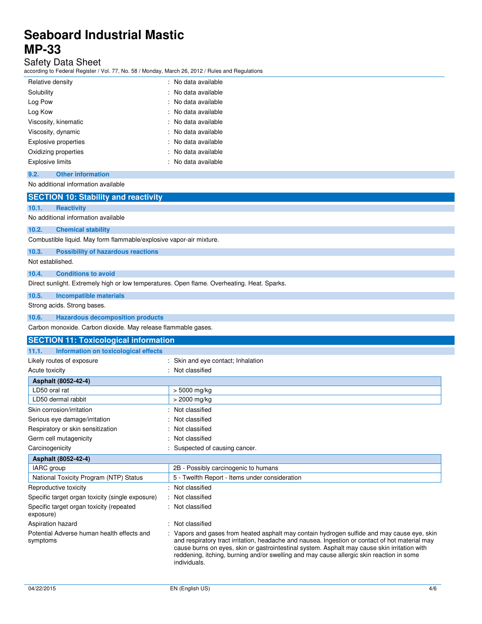# Safety Data Sheet

according to Federal Register / Vol. 77, No. 58 / Monday, March 26, 2012 / Rules and Regulations

| Relative density        | : No data available |
|-------------------------|---------------------|
| Solubility              | : No data available |
| Log Pow                 | : No data available |
| Log Kow                 | : No data available |
| Viscosity, kinematic    | : No data available |
| Viscosity, dynamic      | : No data available |
| Explosive properties    | : No data available |
| Oxidizing properties    | : No data available |
| <b>Explosive limits</b> | No data available   |

### **9.2. Other information**

No additional information available

# **SECTION 10: Stability and reactivity**

### **10.1. Reactivity**

No additional information available

## **10.2. Chemical stability**

Combustible liquid. May form flammable/explosive vapor-air mixture.

### **10.3. Possibility of hazardous reactions**

Not established.

## **10.4. Conditions to avoid**

Direct sunlight. Extremely high or low temperatures. Open flame. Overheating. Heat. Sparks.

### **10.5. Incompatible materials**

Strong acids. Strong bases.

### **10.6. Hazardous decomposition products**

Carbon monoxide. Carbon dioxide. May release flammable gases.

| <b>SECTION 11: Toxicological information</b>           |                                                                                                                                                                                                                                                                                                                                                                                                            |
|--------------------------------------------------------|------------------------------------------------------------------------------------------------------------------------------------------------------------------------------------------------------------------------------------------------------------------------------------------------------------------------------------------------------------------------------------------------------------|
| Information on toxicological effects<br>11.1.          |                                                                                                                                                                                                                                                                                                                                                                                                            |
| Likely routes of exposure                              | : Skin and eye contact; Inhalation                                                                                                                                                                                                                                                                                                                                                                         |
| Acute toxicity                                         | : Not classified                                                                                                                                                                                                                                                                                                                                                                                           |
| Asphalt (8052-42-4)                                    |                                                                                                                                                                                                                                                                                                                                                                                                            |
| LD50 oral rat                                          | $> 5000$ mg/kg                                                                                                                                                                                                                                                                                                                                                                                             |
| LD50 dermal rabbit                                     | > 2000 mg/kg                                                                                                                                                                                                                                                                                                                                                                                               |
| Skin corrosion/irritation                              | : Not classified                                                                                                                                                                                                                                                                                                                                                                                           |
| Serious eye damage/irritation                          | : Not classified                                                                                                                                                                                                                                                                                                                                                                                           |
| Respiratory or skin sensitization                      | : Not classified                                                                                                                                                                                                                                                                                                                                                                                           |
| Germ cell mutagenicity                                 | : Not classified                                                                                                                                                                                                                                                                                                                                                                                           |
| Carcinogenicity                                        | Suspected of causing cancer.                                                                                                                                                                                                                                                                                                                                                                               |
| Asphalt (8052-42-4)                                    |                                                                                                                                                                                                                                                                                                                                                                                                            |
| IARC group                                             | 2B - Possibly carcinogenic to humans                                                                                                                                                                                                                                                                                                                                                                       |
| National Toxicity Program (NTP) Status                 | 5 - Twelfth Report - Items under consideration                                                                                                                                                                                                                                                                                                                                                             |
| Reproductive toxicity                                  | : Not classified                                                                                                                                                                                                                                                                                                                                                                                           |
| Specific target organ toxicity (single exposure)       | : Not classified                                                                                                                                                                                                                                                                                                                                                                                           |
| Specific target organ toxicity (repeated<br>exposure)  | : Not classified                                                                                                                                                                                                                                                                                                                                                                                           |
| Aspiration hazard                                      | : Not classified                                                                                                                                                                                                                                                                                                                                                                                           |
| Potential Adverse human health effects and<br>symptoms | : Vapors and gases from heated asphalt may contain hydrogen sulfide and may cause eye, skin<br>and respiratory tract irritation, headache and nausea. Ingestion or contact of hot material may<br>cause burns on eyes, skin or gastrointestinal system. Asphalt may cause skin irritation with<br>reddening, itching, burning and/or swelling and may cause allergic skin reaction in some<br>individuals. |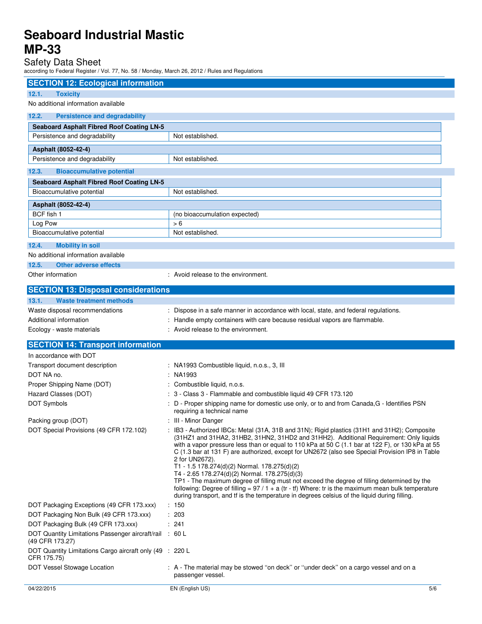# Safety Data Sheet

according to Federal Register / Vol. 77, No. 58 / Monday, March 26, 2012 / Rules and Regulations

| <b>SECTION 12: Ecological information</b>                               |                                                                                                                                                                                                                                                                                                                                                                                                                                                                                                                                                                                                                                                                                                                                                                                                                       |
|-------------------------------------------------------------------------|-----------------------------------------------------------------------------------------------------------------------------------------------------------------------------------------------------------------------------------------------------------------------------------------------------------------------------------------------------------------------------------------------------------------------------------------------------------------------------------------------------------------------------------------------------------------------------------------------------------------------------------------------------------------------------------------------------------------------------------------------------------------------------------------------------------------------|
| 12.1.<br><b>Toxicity</b>                                                |                                                                                                                                                                                                                                                                                                                                                                                                                                                                                                                                                                                                                                                                                                                                                                                                                       |
| No additional information available                                     |                                                                                                                                                                                                                                                                                                                                                                                                                                                                                                                                                                                                                                                                                                                                                                                                                       |
| 12.2.<br><b>Persistence and degradability</b>                           |                                                                                                                                                                                                                                                                                                                                                                                                                                                                                                                                                                                                                                                                                                                                                                                                                       |
| <b>Seaboard Asphalt Fibred Roof Coating LN-5</b>                        |                                                                                                                                                                                                                                                                                                                                                                                                                                                                                                                                                                                                                                                                                                                                                                                                                       |
| Persistence and degradability                                           | Not established.                                                                                                                                                                                                                                                                                                                                                                                                                                                                                                                                                                                                                                                                                                                                                                                                      |
| Asphalt (8052-42-4)                                                     |                                                                                                                                                                                                                                                                                                                                                                                                                                                                                                                                                                                                                                                                                                                                                                                                                       |
| Persistence and degradability                                           | Not established.                                                                                                                                                                                                                                                                                                                                                                                                                                                                                                                                                                                                                                                                                                                                                                                                      |
| 12.3.<br><b>Bioaccumulative potential</b>                               |                                                                                                                                                                                                                                                                                                                                                                                                                                                                                                                                                                                                                                                                                                                                                                                                                       |
| <b>Seaboard Asphalt Fibred Roof Coating LN-5</b>                        |                                                                                                                                                                                                                                                                                                                                                                                                                                                                                                                                                                                                                                                                                                                                                                                                                       |
| Bioaccumulative potential                                               | Not established.                                                                                                                                                                                                                                                                                                                                                                                                                                                                                                                                                                                                                                                                                                                                                                                                      |
| Asphalt (8052-42-4)                                                     |                                                                                                                                                                                                                                                                                                                                                                                                                                                                                                                                                                                                                                                                                                                                                                                                                       |
| BCF fish 1                                                              | (no bioaccumulation expected)                                                                                                                                                                                                                                                                                                                                                                                                                                                                                                                                                                                                                                                                                                                                                                                         |
| Log Pow                                                                 | > 6                                                                                                                                                                                                                                                                                                                                                                                                                                                                                                                                                                                                                                                                                                                                                                                                                   |
| Bioaccumulative potential                                               | Not established.                                                                                                                                                                                                                                                                                                                                                                                                                                                                                                                                                                                                                                                                                                                                                                                                      |
| 12.4.<br><b>Mobility in soil</b>                                        |                                                                                                                                                                                                                                                                                                                                                                                                                                                                                                                                                                                                                                                                                                                                                                                                                       |
| No additional information available                                     |                                                                                                                                                                                                                                                                                                                                                                                                                                                                                                                                                                                                                                                                                                                                                                                                                       |
| 12.5.<br><b>Other adverse effects</b>                                   |                                                                                                                                                                                                                                                                                                                                                                                                                                                                                                                                                                                                                                                                                                                                                                                                                       |
| Other information                                                       | : Avoid release to the environment.                                                                                                                                                                                                                                                                                                                                                                                                                                                                                                                                                                                                                                                                                                                                                                                   |
| <b>SECTION 13: Disposal considerations</b>                              |                                                                                                                                                                                                                                                                                                                                                                                                                                                                                                                                                                                                                                                                                                                                                                                                                       |
| 13.1.<br>Waste treatment methods                                        |                                                                                                                                                                                                                                                                                                                                                                                                                                                                                                                                                                                                                                                                                                                                                                                                                       |
| Waste disposal recommendations                                          | Dispose in a safe manner in accordance with local, state, and federal regulations.                                                                                                                                                                                                                                                                                                                                                                                                                                                                                                                                                                                                                                                                                                                                    |
| Additional information                                                  | Handle empty containers with care because residual vapors are flammable.                                                                                                                                                                                                                                                                                                                                                                                                                                                                                                                                                                                                                                                                                                                                              |
| Ecology - waste materials                                               | : Avoid release to the environment.                                                                                                                                                                                                                                                                                                                                                                                                                                                                                                                                                                                                                                                                                                                                                                                   |
| <b>SECTION 14: Transport information</b>                                |                                                                                                                                                                                                                                                                                                                                                                                                                                                                                                                                                                                                                                                                                                                                                                                                                       |
| In accordance with DOT                                                  |                                                                                                                                                                                                                                                                                                                                                                                                                                                                                                                                                                                                                                                                                                                                                                                                                       |
| Transport document description                                          | : NA1993 Combustible liquid, n.o.s., 3, III                                                                                                                                                                                                                                                                                                                                                                                                                                                                                                                                                                                                                                                                                                                                                                           |
| DOT NA no.                                                              | NA1993                                                                                                                                                                                                                                                                                                                                                                                                                                                                                                                                                                                                                                                                                                                                                                                                                |
| Proper Shipping Name (DOT)                                              | Combustible liquid, n.o.s.                                                                                                                                                                                                                                                                                                                                                                                                                                                                                                                                                                                                                                                                                                                                                                                            |
| Hazard Classes (DOT)<br>DOT Symbols                                     | 3 - Class 3 - Flammable and combustible liquid 49 CFR 173.120<br>D - Proper shipping name for domestic use only, or to and from Canada, G - Identifies PSN                                                                                                                                                                                                                                                                                                                                                                                                                                                                                                                                                                                                                                                            |
|                                                                         | requiring a technical name                                                                                                                                                                                                                                                                                                                                                                                                                                                                                                                                                                                                                                                                                                                                                                                            |
| Packing group (DOT)                                                     | III - Minor Danger                                                                                                                                                                                                                                                                                                                                                                                                                                                                                                                                                                                                                                                                                                                                                                                                    |
| DOT Special Provisions (49 CFR 172.102)                                 | : IB3 - Authorized IBCs: Metal (31A, 31B and 31N); Rigid plastics (31H1 and 31H2); Composite<br>(31HZ1 and 31HA2, 31HB2, 31HN2, 31HD2 and 31HH2). Additional Requirement: Only liquids<br>with a vapor pressure less than or equal to 110 kPa at 50 C (1.1 bar at 122 F), or 130 kPa at 55<br>C (1.3 bar at 131 F) are authorized, except for UN2672 (also see Special Provision IP8 in Table<br>2 for UN2672).<br>T1 - 1.5 178.274(d)(2) Normal. 178.275(d)(2)<br>T4 - 2.65 178.274(d)(2) Normal. 178.275(d)(3)<br>TP1 - The maximum degree of filling must not exceed the degree of filling determined by the<br>following: Degree of filling = $97/1 + a$ (tr - tf) Where: tr is the maximum mean bulk temperature<br>during transport, and if is the temperature in degrees celsius of the liquid during filling. |
| DOT Packaging Exceptions (49 CFR 173.xxx)                               | : 150                                                                                                                                                                                                                                                                                                                                                                                                                                                                                                                                                                                                                                                                                                                                                                                                                 |
| DOT Packaging Non Bulk (49 CFR 173.xxx)                                 | : 203                                                                                                                                                                                                                                                                                                                                                                                                                                                                                                                                                                                                                                                                                                                                                                                                                 |
| DOT Packaging Bulk (49 CFR 173.xxx)                                     | : 241                                                                                                                                                                                                                                                                                                                                                                                                                                                                                                                                                                                                                                                                                                                                                                                                                 |
| DOT Quantity Limitations Passenger aircraft/rail<br>(49 CFR 173.27)     | : 60 L                                                                                                                                                                                                                                                                                                                                                                                                                                                                                                                                                                                                                                                                                                                                                                                                                |
| DOT Quantity Limitations Cargo aircraft only (49 : 220 L<br>CFR 175.75) |                                                                                                                                                                                                                                                                                                                                                                                                                                                                                                                                                                                                                                                                                                                                                                                                                       |
| DOT Vessel Stowage Location                                             | : A - The material may be stowed "on deck" or "under deck" on a cargo vessel and on a<br>passenger vessel.                                                                                                                                                                                                                                                                                                                                                                                                                                                                                                                                                                                                                                                                                                            |